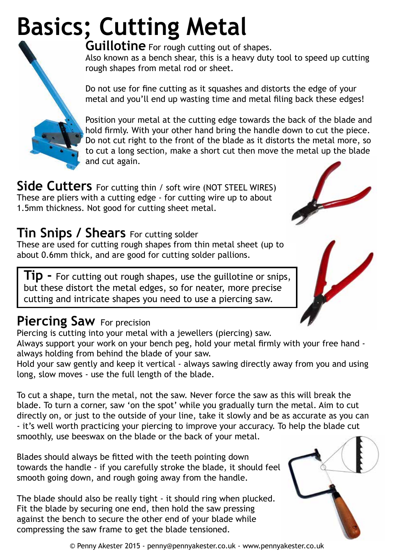## **Basics; Cutting Metal**



**Guillotine** For rough cutting out of shapes. Also known as a bench shear, this is a heavy duty tool to speed up cutting rough shapes from metal rod or sheet.

Do not use for fine cutting as it squashes and distorts the edge of your metal and you'll end up wasting time and metal filing back these edges!

Position your metal at the cutting edge towards the back of the blade and hold firmly. With your other hand bring the handle down to cut the piece. Do not cut right to the front of the blade as it distorts the metal more, so to cut a long section, make a short cut then move the metal up the blade and cut again.

Side Cutters For cutting thin / soft wire (NOT STEEL WIRES) These are pliers with a cutting edge - for cutting wire up to about 1.5mm thickness. Not good for cutting sheet metal.

## **Tin Snips / Shears** For cutting solder

These are used for cutting rough shapes from thin metal sheet (up to about 0.6mm thick, and are good for cutting solder pallions.

**Tip -** For cutting out rough shapes, use the guillotine or snips, but these distort the metal edges, so for neater, more precise cutting and intricate shapes you need to use a piercing saw.

## **Piercing Saw For precision**

Piercing is cutting into your metal with a jewellers (piercing) saw.

Always support your work on your bench peg, hold your metal firmly with your free hand always holding from behind the blade of your saw.

Hold your saw gently and keep it vertical - always sawing directly away from you and using long, slow moves - use the full length of the blade.

To cut a shape, turn the metal, not the saw. Never force the saw as this will break the blade. To turn a corner, saw 'on the spot' while you gradually turn the metal. Aim to cut directly on, or just to the outside of your line, take it slowly and be as accurate as you can - it's well worth practicing your piercing to improve your accuracy. To help the blade cut smoothly, use beeswax on the blade or the back of your metal.

Blades should always be fitted with the teeth pointing down towards the handle - if you carefully stroke the blade, it should feel smooth going down, and rough going away from the handle.

The blade should also be really tight - it should ring when plucked. Fit the blade by securing one end, then hold the saw pressing against the bench to secure the other end of your blade while compressing the saw frame to get the blade tensioned.